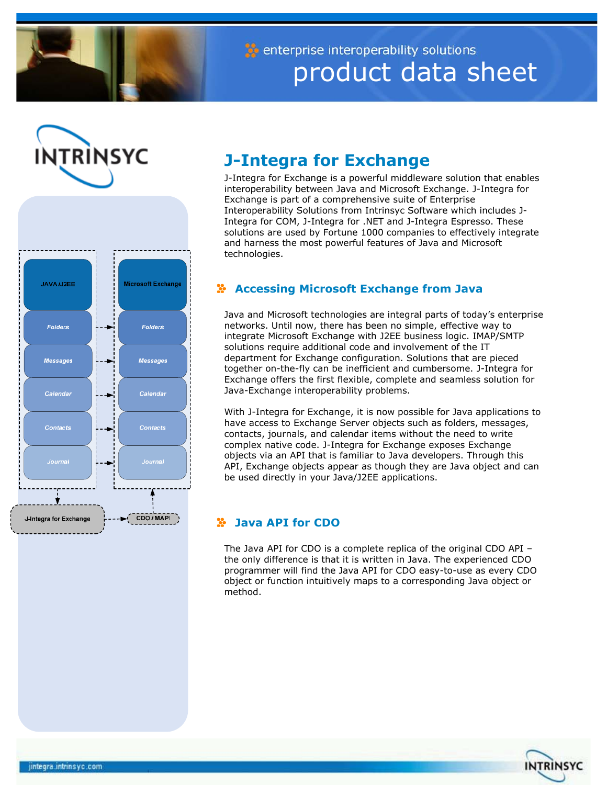

enterprise interoperability solutions product data sheet





# **J-Integra for Exchange**

J-Integra for Exchange is a powerful middleware solution that enables interoperability between Java and Microsoft Exchange. J-Integra for Exchange is part of a comprehensive suite of Enterprise Interoperability Solutions from Intrinsyc Software which includes J-Integra for COM, J-Integra for .NET and J-Integra Espresso. These solutions are used by Fortune 1000 companies to effectively integrate and harness the most powerful features of Java and Microsoft technologies.

# **Accessing Microsoft Exchange from Java**

Java and Microsoft technologies are integral parts of today's enterprise networks. Until now, there has been no simple, effective way to integrate Microsoft Exchange with J2EE business logic. IMAP/SMTP solutions require additional code and involvement of the IT department for Exchange configuration. Solutions that are pieced together on-the-fly can be inefficient and cumbersome. J-Integra for Exchange offers the first flexible, complete and seamless solution for Java-Exchange interoperability problems.

With J-Integra for Exchange, it is now possible for Java applications to have access to Exchange Server objects such as folders, messages, contacts, journals, and calendar items without the need to write complex native code. J-Integra for Exchange exposes Exchange objects via an API that is familiar to Java developers. Through this API, Exchange objects appear as though they are Java object and can be used directly in your Java/J2EE applications.

## **Java API for CDO**

The Java API for CDO is a complete replica of the original CDO API – the only difference is that it is written in Java. The experienced CDO programmer will find the Java API for CDO easy-to-use as every CDO object or function intuitively maps to a corresponding Java object or method.